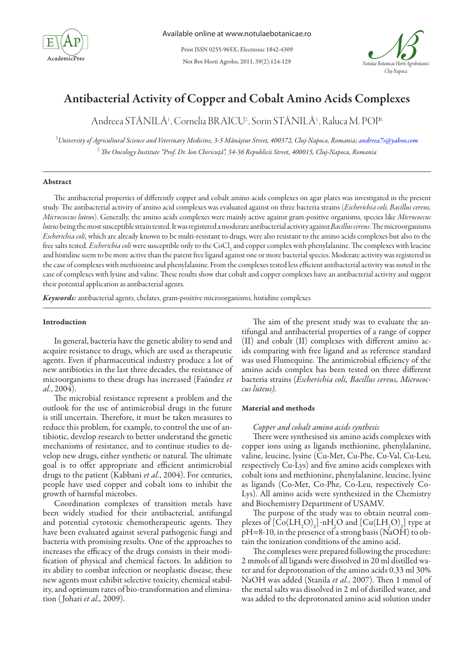

Not Bot Horti Agrobo, 2011, 39(2):124-129 Print ISSN 0255-965X; Electronic 1842-4309



# Antibacterial Activity of Copper and Cobalt Amino Acids Complexes

Andreea STĂNILĂ1 , Cornelia BRAICU2 , Sorin STĂNILĂ1 , Raluca M. POP1

1 *University of Agricultural Science and Veterinary Medicine, 3-5 Mănăştur Street, 400372, Cluj-Napoca, Romania; andreea7s@yahoo.com* 2  *The Oncology Institute "Prof. Dr. Ion Chiricuţă", 34-36 Republicii Street, 400015, Cluj-Napoca, Romania*

## Abstract

The antibacterial properties of differently copper and cobalt amino acids complexes on agar plates was investigated in the present study. The antibacterial activity of amino acid complexes was evaluated against on three bacteria strains (*Escherichia coli, Bacillus cereus, Micrococcus luteu*s). Generally, the amino acids complexes were mainly active against gram-positive organisms, species like *Micrococcus luteus* being the most susceptible strain tested. It was registered a moderate antibacterial activity against *Bacillus cereus*. The microorganisms *Escherichia coli*, which are already known to be multi-resistant to drugs, were also resistant to the amino acids complexes but also to the free salts tested. *Escherichia coli* were susceptible only to the CoCl<sub>2</sub> and copper complex with phenylalanine. The complexes with leucine and histidine seem to be more active than the parent free ligand against one or more bacterial species. Moderate activity was registered in the case of complexes with methionine and phenylalanine. From the complexes tested less efficient antibacterial activity was noted in the case of complexes with lysine and valine. These results show that cobalt and copper complexes have an antibacterial activity and suggest their potential application as antibacterial agents.

*Keywords:*antibacterial agents, chelates, gram-positive microorganisms, histidine complexes

# Introduction

In general, bacteria have the genetic ability to send and acquire resistance to drugs, which are used as therapeutic agents. Even if pharmaceutical industry produce a lot of new antibiotics in the last three decades, the resistance of microorganisms to these drugs has increased (Faúndez *et al.*, 2004).

The microbial resistance represent a problem and the outlook for the use of antimicrobial drugs in the future is still uncertain. Therefore, it must be taken measures to reduce this problem, for example, to control the use of antibiotic, develop research to better understand the genetic mechanisms of resistance, and to continue studies to develop new drugs, either synthetic or natural. The ultimate goal is to offer appropriate and efficient antimicrobial drugs to the patient (Kabbani *et al.*, 2004). For centuries, people have used copper and cobalt ions to inhibit the growth of harmful microbes.

Coordination complexes of transition metals have been widely studied for their antibacterial, antifungal and potential cytotoxic chemotherapeutic agents. They have been evaluated against several pathogenic fungi and bacteria with promising results. One of the approaches to increases the efficacy of the drugs consists in their modification of physical and chemical factors. In addition to its ability to combat infection or neoplastic disease, these new agents must exhibit selective toxicity, chemical stability, and optimum rates of bio-transformation and elimination ( Johari *et al.,* 2009).

The aim of the present study was to evaluate the antifungal and antibacterial properties of a range of copper (II) and cobalt (II) complexes with different amino acids comparing with free ligand and as reference standard was used Flumequine. The antimicrobial efficiency of the amino acids complex has been tested on three different bacteria strains (*Escherichia coli, Bacillus cereus, Micrococcus luteus).*

# Material and methods

## *Copper and cobalt amino acids synthesis*

There were synthesised six amino acids complexes with copper ions using as ligands methionine, phenylalanine, valine, leucine, lysine (Cu-Met, Cu-Phe, Cu-Val, Cu-Leu, respectively Cu-Lys) and five amino acids complexes with cobalt ions and methionine, phenylalanine, leucine, lysine as ligands (Co-Met, Co-Phe, Co-Leu, respectively Co-Lys). All amino acids were synthesized in the Chemistry and Biochemistry Department of USAMV.

The purpose of the study was to obtain neutral complexes of  $\left[\text{Co(LH<sub>2</sub>O)<sub>2</sub>}\right]$  nH<sub>2</sub>O and  $\left[\text{Cu(LH<sub>2</sub>O)<sub>2</sub>}\right]$  type at  $pH=8-10$ , in the presence of a strong basis (NaOH) to obtain the ionization conditions of the amino acid.

The complexes were prepared following the procedure: 2 mmols of all ligands were dissolved in 20 ml distilled water and for deprotonation of the amino acids 0.33 ml 30% NaOH was added (Stanila *et al.*, 2007). Then 1 mmol of the metal salts was dissolved in 2 ml of distilled water, and was added to the deprotonated amino acid solution under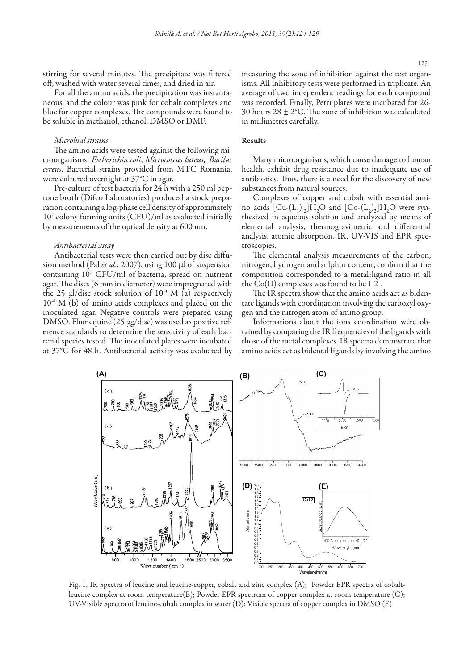stirring for several minutes. The precipitate was filtered off, washed with water several times, and dried in air.

For all the amino acids, the precipitation was instantaneous, and the colour was pink for cobalt complexes and blue for copper complexes. The compounds were found to be soluble in methanol, ethanol, DMSO or DMF.

#### *Microbial strains*

The amino acids were tested against the following microorganisms: *Escherichia coli*, *Micrococcus luteus, Bacilus cereus*. Bacterial strains provided from MTC Romania, were cultured overnight at 37°C in agar.

Pre-culture of test bacteria for 24 h with a 250 ml peptone broth (Difco Laboratories) produced a stock preparation containing a log-phase cell density of approximately 107 colony forming units (CFU)/ml as evaluated initially by measurements of the optical density at 600 nm.

## *Antibacterial assay*

Antibacterial tests were then carried out by disc diffusion method (Pal *et al.*, 2007), using 100 µl of suspension containing 107 CFU/ml of bacteria, spread on nutrient agar. The discs (6 mm in diameter) were impregnated with the 25  $\mu$ l/disc stock solution of 10<sup>-3</sup> M (a) respectively  $10^{-4}$  M (b) of amino acids complexes and placed on the inoculated agar. Negative controls were prepared using DMSO. Flumequine (25 μg/disc) was used as positive reference standards to determine the sensitivity of each bacterial species tested. The inoculated plates were incubated at 37°C for 48 h. Antibacterial activity was evaluated by

measuring the zone of inhibition against the test organisms. All inhibitory tests were performed in triplicate. An average of two independent readings for each compound was recorded. Finally, Petri plates were incubated for 26- 30 hours 28 *±* 2°C. The zone of inhibition was calculated in millimetres carefully.

## Results

Many microorganisms, which cause damage to human health, exhibit drug resistance due to inadequate use of antibiotics. Thus, there is a need for the discovery of new substances from natural sources.

Complexes of copper and cobalt with essential amino acids  $\left[\mathrm{Cu}\text{-}\left(\mathrm{L_1}\right)_2\right]\mathrm{H}_2\mathrm{O}$  and  $\left[\mathrm{Co}\text{-}\left(\mathrm{L_2}\right)_2\right]\mathrm{H}_2\mathrm{O}$  were synthesized in aqueous solution and analyzed by means of elemental analysis, thermogravimetric and differential analysis, atomic absorption, IR, UV-VIS and EPR spectroscopies.

The elemental analysis measurements of the carbon, nitrogen, hydrogen and sulphur content, confirm that the composition corresponded to a metal:ligand ratio in all the Co(II) complexes was found to be 1:2 .

The IR spectra show that the amino acids act as bidentate ligands with coordination involving the carboxyl oxygen and the nitrogen atom of amino group.

Informations about the ions coordination were obtained by comparing the IR frequencies of the ligands with those of the metal complexes. IR spectra demonstrate that amino acids act as bidental ligands by involving the amino



Fig. 1. IR Spectra of leucine and leucine-copper, cobalt and zinc complex (A); Powder EPR spectra of cobaltleucine complex at room temperature(B); Powder EPR spectrum of copper complex at room temperature (C); UV-Visible Spectra of leucine-cobalt complex in water (D); Visible spectra of copper complex in DMSO (E)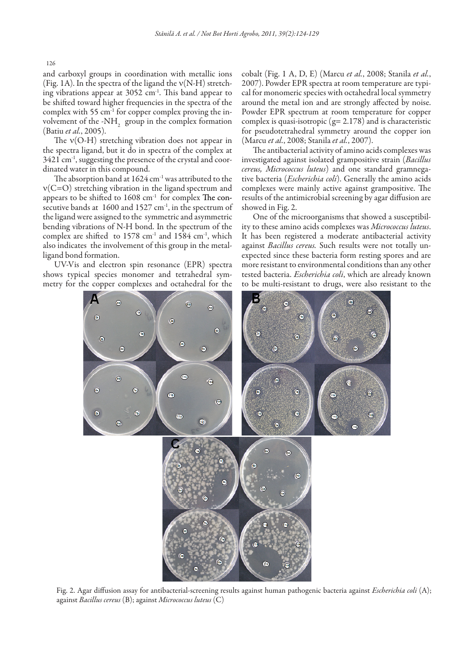126

and carboxyl groups in coordination with metallic ions (Fig. 1A). In the spectra of the ligand the  $v(N-H)$  stretching vibrations appear at 3052 cm<sup>-1</sup>. This band appear to be shifted toward higher frequencies in the spectra of the complex with 55 cm-1 for copper complex proving the involvement of the -NH<sub>2</sub> group in the complex formation (Batiu *et al.*, 2005).

The  $v(O-H)$  stretching vibration does not appear in the spectra ligand, but it do in spectra of the complex at 3421 cm<sup>-1</sup>, suggesting the presence of the crystal and coordinated water in this compound.

The absorption band at 1624 cm<sup>-1</sup> was attributed to the ν(C=O) stretching vibration in the ligand spectrum and appears to be shifted to  $1608 \text{ cm}^{-1}$  for complex The consecutive bands at 1600 and 1527 cm<sup>-1</sup>, in the spectrum of the ligand were assigned to the symmetric and asymmetric bending vibrations of N-H bond. In the spectrum of the complex are shifted to 1578 cm-1 and 1584 cm-1, which also indicates the involvement of this group in the metalligand bond formation.

UV-Vis and electron spin resonance (EPR) spectra shows typical species monomer and tetrahedral symmetry for the copper complexes and octahedral for the

cobalt (Fig. 1 A, D, E) (Marcu *et al.*, 2008; Stanila *et al.*, 2007). Powder EPR spectra at room temperature are typical for monomeric species with octahedral local symmetry around the metal ion and are strongly affected by noise. Powder EPR spectrum at room temperature for copper complex is quasi-isotropic  $(g= 2.178)$  and is characteristic for pseudotetrahedral symmetry around the copper ion (Marcu *et al.*, 2008; Stanila *et al.*, 2007).

The antibacterial activity of amino acids complexes was investigated against isolated grampositive strain (*Bacillus cereus, Micrococcus luteus*) and one standard gramnegative bacteria (*Escherichia coli*). Generally the amino acids complexes were mainly active against grampositive. The results of the antimicrobial screening by agar diffusion are showed in Fig. 2.

One of the microorganisms that showed a susceptibility to these amino acids complexes was *Micrococcus luteus*. It has been registered a moderate antibacterial activity against *Bacillus cereus.* Such results were not totally unexpected since these bacteria form resting spores and are more resistant to environmental conditions than any other tested bacteria. *Escherichia coli*, which are already known to be multi-resistant to drugs, were also resistant to the



Fig. 2. Agar diffusion assay for antibacterial-screening results against human pathogenic bacteria against *Escherichia coli* (A); against *Bacillus cereus* (B); against *Micrococcus luteus* (C)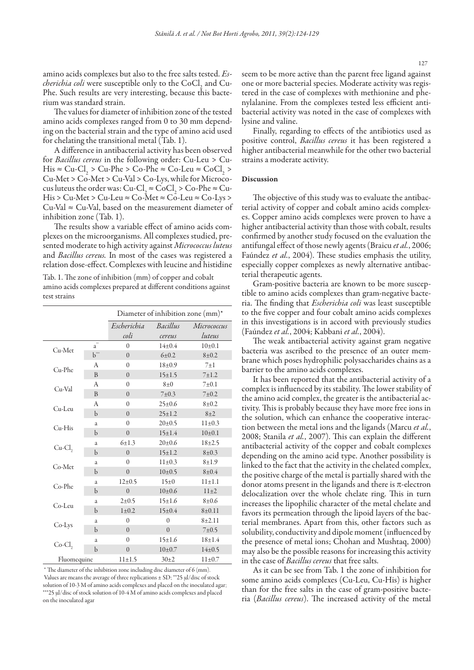amino acids complexes but also to the free salts tested. *Escherichia coli* were susceptible only to the CoCl<sub>2</sub> and Cu-Phe. Such results are very interesting, because this bacterium was standard strain.

The values for diameter of inhibition zone of the tested amino acids complexes ranged from 0 to 30 mm depending on the bacterial strain and the type of amino acid used for chelating the transitional metal (Tab. 1).

A difference in antibacterial activity has been observed for *Bacillus cereus* in the following order: Cu-Leu > Cu- $His \approx Cu-Cl_2 > Cu-Phe > Co-Phe \approx Co-Leu \approx CoCl_2 >$ Cu-Met > Co-Met > Cu-Val > Co-Lys, while for Micrococus luteus the order was: Cu-Cl<sub>2</sub>  $\approx$  CoCl<sub>2</sub>  $>$  Co-Phe  $\approx$  Cu- $His > Cu-Met > Cu-Leu \approx Co-Met \approx Co-Leu \approx Co-Lys >$  $Cu-Val \approx Cu-Val$ , based on the measurement diameter of inhibition zone (Tab. 1).

The results show a variable effect of amino acids complexes on the microorganisms. All complexes studied, presented moderate to high activity against *Micrococcus luteus*  and *Bacillus cereus.* In most of the cases was registered a relation dose-effect. Complexes with leucine and histidine

Tab. 1. The zone of inhibition (mm) of copper and cobalt amino acids complexes prepared at different conditions against test strains

|             |                | Diameter of inhibition zone (mm)* |              |              |
|-------------|----------------|-----------------------------------|--------------|--------------|
|             |                | Escherichia                       | Bacillus     | Micrococcus  |
|             |                | coli                              | cereus       | luteus       |
| $Cu-Met$    | $a^*$          | $\Omega$                          | $14\pm0.4$   | $10\pm 0.1$  |
|             | $b^{\cdots}$   | $\theta$                          | $6+0.2$      | $8 + 0.2$    |
| Cu-Phe      | A              | $\Omega$                          | $18+0.9$     | $7\pm1$      |
|             | $\overline{B}$ | $\Omega$                          | $15 \pm 1.5$ | $7 + 1.2$    |
| Cu-Val      | A              | $\theta$                          | $8\pm0$      | $7\pm0.1$    |
|             | B              | $\theta$                          | 7 ± 0.3      | 7 ± 0.2      |
| $Cu-Leu$    | A              | $\theta$                          | $25 \pm 0.6$ | $8 + 0.2$    |
|             | $\mathbf b$    | $\Omega$                          | $25 \pm 1.2$ | $8 + 2$      |
| $Cu-His$    | a              | $\Omega$                          | $20 \pm 0.5$ | $11 \pm 0.3$ |
|             | $\mathbf b$    | $\theta$                          | $15 \pm 1.4$ | 10±0.1       |
| Cu-Cl,      | a              | $6 \pm 1.3$                       | $20 \pm 0.6$ | $18 + 2.5$   |
|             | $\mathbf b$    | $\Omega$                          | $15 \pm 1.2$ | $8 + 0.3$    |
| $Co-Met$    | a              | $\theta$                          | $11 \pm 0.3$ | $8 + 1.9$    |
|             | $\mathbf b$    | $\theta$                          | $10\pm 0.5$  | $8 + 0.4$    |
| $Co-Phe$    | a              | $12 \pm 0.5$                      | $15\pm0$     | $11 + 1.1$   |
|             | $\mathbf b$    | $\Omega$                          | $10\pm0.6$   | $11\pm2$     |
| Co-Leu      | a              | $2 \pm 0.5$                       | $15 \pm 1.6$ | $8 + 0.6$    |
|             | $\mathbf b$    | $1 \pm 0.2$                       | $15 \pm 0.4$ | $8 + 0.11$   |
| $Co-Lys$    | a              | $\theta$                          | $\theta$     | $8 + 2.11$   |
|             | $\mathbf b$    | $\theta$                          | $\theta$     | $7\pm0.5$    |
| $Co-Cl$ ,   | a              | $\Omega$                          | $15 \pm 1.6$ | $18 + 1.4$   |
|             | $\mathbf b$    | $\theta$                          | $10+0.7$     | $14\pm0.5$   |
| Fluomequine |                | $11 \pm 1.5$                      | $30+2$       | $11 \pm 0.7$ |

 \* The diameter of the inhibition zone including disc diameter of 6 (mm). Values are means the average of three replications ± SD; \*\*25 μl/disc of stock solution of 10-3 M of amino acids complexes and placed on the inoculated agar; \*\*\*25 μl/disc of stock solution of 10-4 M of amino acids complexes and placed on the inoculated agar

seem to be more active than the parent free ligand against one or more bacterial species. Moderate activity was registered in the case of complexes with methionine and phenylalanine. From the complexes tested less efficient antibacterial activity was noted in the case of complexes with lysine and valine.

Finally, regarding to effects of the antibiotics used as positive control, *Bacillus cereus* it has been registered a higher antibacterial meanwhile for the other two bacterial strains a moderate activity.

# Discussion

The objective of this study was to evaluate the antibacterial activity of copper and cobalt amino acids complexes. Copper amino acids complexes were proven to have a higher antibacterial activity than those with cobalt, results confirmed by another study focused on the evaluation the antifungal effect of those newly agents (Braicu *et al.*, 2006; Faúndez *et al.*, 2004). These studies emphasis the utility, especially copper complexes as newly alternative antibacterial therapeutic agents.

Gram-positive bacteria are known to be more susceptible to amino acids complexes than gram-negative bacteria. The finding that *Escherichia coli* was least susceptible to the five copper and four cobalt amino acids complexes in this investigations is in accord with previously studies (Faúndez *et al.*, 2004; Kabbani *et al.*, 2004).

The weak antibacterial activity against gram negative bacteria was ascribed to the presence of an outer membrane which poses hydrophilic polysaccharides chains as a barrier to the amino acids complexes.

It has been reported that the antibacterial activity of a complex is influenced by its stability. The lower stability of the amino acid complex, the greater is the antibacterial activity. This is probably because they have more free ions in the solution, which can enhance the cooperative interaction between the metal ions and the ligands (Marcu *et al.*, 2008; Stanila *et al.*, 2007). This can explain the different antibacterial activity of the copper and cobalt complexes depending on the amino acid type. Another possibility is linked to the fact that the activity in the chelated complex, the positive charge of the metal is partially shared with the donor atoms present in the ligands and there is  $\pi$ -electron delocalization over the whole chelate ring. This in turn increases the lipophilic character of the metal chelate and favors its permeation through the lipoid layers of the bacterial membranes. Apart from this, other factors such as solubility, conductivity and dipole moment (influenced by the presence of metal ions; Chohan and Mushtaq, 2000) may also be the possible reasons for increasing this activity in the case of *Bacillus cereus* that free salts.

As it can be see from Tab. 1 the zone of inhibition for some amino acids complexes (Cu-Leu, Cu-His) is higher than for the free salts in the case of gram-positive bacteria (*Bacillus cereus*). The increased activity of the metal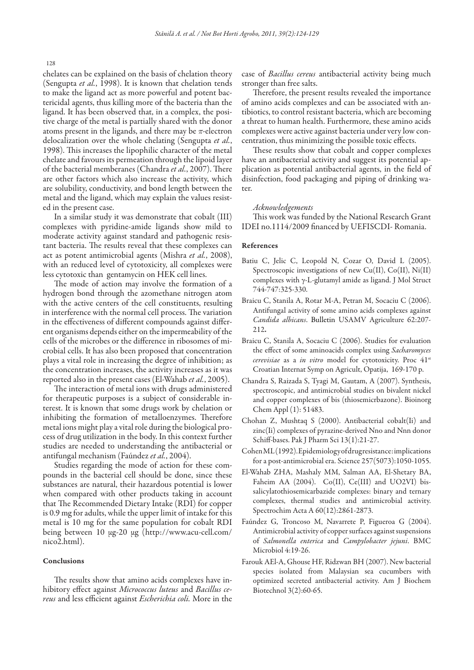128

chelates can be explained on the basis of chelation theory (Sengupta *et al.*, 1998). It is known that chelation tends to make the ligand act as more powerful and potent bactericidal agents, thus killing more of the bacteria than the ligand. It has been observed that, in a complex, the positive charge of the metal is partially shared with the donor atoms present in the ligands, and there may be *π*-electron delocalization over the whole chelating (Sengupta *et al.*, 1998). This increases the lipophilic character of the metal chelate and favours its permeation through the lipoid layer of the bacterial memberanes (Chandra *et al.*, 2007). There are other factors which also increase the activity, which are solubility, conductivity, and bond length between the metal and the ligand, which may explain the values resisted in the present case.

In a similar study it was demonstrate that cobalt (III) complexes with pyridine-amide ligands show mild to moderate activity against standard and pathogenic resistant bacteria. The results reveal that these complexes can act as potent antimicrobial agents (Mishra *et al.*, 2008), with an reduced level of cytotoxicity, all complexes were less cytotoxic than gentamycin on HEK cell lines.

The mode of action may involve the formation of a hydrogen bond through the azomethane nitrogen atom with the active centers of the cell constituents, resulting in interference with the normal cell process. The variation in the effectiveness of different compounds against different organisms depends either on the impermeability of the cells of the microbes or the difference in ribosomes of microbial cells. It has also been proposed that concentration plays a vital role in increasing the degree of inhibition; as the concentration increases, the activity increases as it was reported also in the present cases (El-Wahab *et al.*, 2005).

The interaction of metal ions with drugs administered for therapeutic purposes is a subject of considerable interest. It is known that some drugs work by chelation or inhibiting the formation of metalloenzymes. Therefore metal ions might play a vital role during the biological process of drug utilization in the body. In this context further studies are needed to understanding the antibacterial or antifungal mechanism (Faúndez *et al.*, 2004).

Studies regarding the mode of action for these compounds in the bacterial cell should be done, since these substances are natural, their hazardous potential is lower when compared with other products taking in account that The Recommended Dietary Intake (RDI) for copper is 0.9 mg for adults, while the upper limit of intake for this metal is 10 mg for the same population for cobalt RDI being between 10 µg-20 µg (http://www.acu-cell.com/ nico2.html).

# Conclusions

The results show that amino acids complexes have inhibitory effect against *Micrococcus luteus* and *Bacillus cereus* and less efficient against *Escherichia coli.* More in the case of *Bacillus cereus* antibacterial activity being much stronger than free salts.

Therefore, the present results revealed the importance of amino acids complexes and can be associated with antibiotics, to control resistant bacteria, which are becoming a threat to human health. Furthermore, these amino acids complexes were active against bacteria under very low concentration, thus minimizing the possible toxic effects.

These results show that cobalt and copper complexes have an antibacterial activity and suggest its potential application as potential antibacterial agents, in the field of disinfection, food packaging and piping of drinking water.

#### *Acknowledgements*

This work was funded by the National Research Grant IDEI no.1114/2009 financed by UEFISCDI- Romania.

#### References

- Batiu C, Jelic C, Leopold N, Cozar O, David L (2005). Spectroscopic investigations of new Cu(II), Co(II), Ni(II) complexes with γ-L-glutamyl amide as ligand. J Mol Struct 744-747:325-330.
- Braicu C, Stanila A, Rotar M-A, Petran M, Socaciu C (2006). Antifungal activity of some amino acids complexes against *Candida albicans*. Bulletin USAMV Agriculture 62:207- 212.
- Braicu C, Stanila A, Socaciu C (2006). Studies for evaluation the effect of some aminoacids complex using *Sacharomyces cerevisiae* as a *in vitro* model for cytotoxicity. Proc 41st Croatian Internat Symp on Agricult, Opatija, 169-170 p.
- Chandra S, Raizada S, Tyagi M, Gautam, A (2007). Synthesis, spectroscopic, and antimicrobial studies on bivalent nickel and copper complexes of bis (thiosemicrbazone). Bioinorg Chem Appl (1): 51483.
- Chohan Z, Mushtaq S (2000). Antibacterial cobalt(Ii) and zinc(Ii) complexes of pyrazine-derived Nno and Nnn donor Schiff-bases. Pak J Pharm Sci 13(1):21-27.
- Cohen ML (1992). Epidemiology of drug resistance: implications for a post-antimicrobial era. Science 257(5073):1050-1055.
- El-Wahab ZHA, Mashaly MM, Salman AA, El-Shetary BA, Faheim AA (2004). Co(II), Ce(III) and UO2VI) bissalicylatothiosemicarbazide complexes: binary and ternary complexes, thermal studies and antimicrobial activity. Spectrochim Acta A 60(12):2861-2873.
- Faúndez G, Troncoso M, Navarrete P, Figueroa G (2004). Antimicrobial activity of copper surfaces against suspensions of *Salmonella enterica* and *Campylobacter jejuni*. BMC Microbiol 4:19-26.
- Farouk AEl-A, Ghouse HF, Ridzwan BH (2007). New bacterial species isolated from Malaysian sea cucumbers with optimized secreted antibacterial activity. Am J Biochem Biotechnol 3(2):60-65.